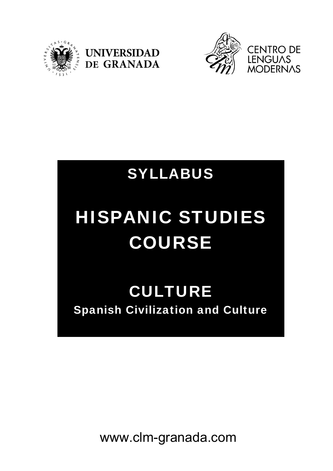





## SYLLABUS

# HISPANIC STUDIES COURSE

### CULTURE Spanish Civilization and Culture

www.clm-granada.com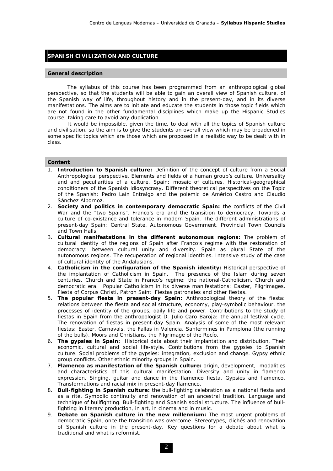#### **SPANISH CIVILIZATION AND CULTURE**

#### **General description**

 The syllabus of this course has been programmed from an anthropological global perspective, so that the students will be able to gain an overall view of Spanish culture, of the Spanish way of life, throughout history and in the present-day, and in its diverse manifestations. The aims are to initiate and educate the students in those topic fields which are not found in the other fundamental disciplines which make up the Hispanic Studies course, taking care to avoid any duplication.

 It would be impossible, given the time, to deal with all the topics of Spanish culture and civilisation, so the aim is to give the students an overall view which may be broadened in some specific topics which are those which are proposed in a realistic way to be dealt with in class.

#### **Content**

- 1. *Introduction to Spanish culture:* Definition of the concept of culture from a Social Anthropological perspective. Elements and fields of a human group's culture. Universality and and peculiarities of a culture. Spain: mosaic of cultures. Historical-geographical conditioners of the Spanish idiosyncrasy. Different theoretical perspectives on the Topic of the Spanish: Pedro Laín Entralgo and the polemic de Américo Castro and Claudio Sánchez Albornoz.
- 2. *Society and politics in contemporary democratic Spain:* the conflicts of the Civil War and the "two Spains". Franco's era and the transition to democracy. Towards a culture of co-existance and tolerance in modern Spain. The different administrations of present-day Spain: Central State, Autonomous Government, Provincial Town Councils and Town Halls.
- 3. *Cultural manifestations in the different autonomous regions:* The problem of cultural identity of the regions of Spain after Franco's regime with the restoration of democracy: between cultural unity and diversity. Spain as plural State of the autonomous regions. The recuperation of regional identities. Intensive study of the case of cultural identity of the Andalusians.
- 4. *Catholicism in the configuration of the Spanish identity:* Historical perspective of the implantation of Catholicism in Spain. The presence of the Islam during seven centuries. Church and State in Franco's regime: the national-Catholicism. Church and democratic era. Popular Catholicism in its diverse manifestations: Easter, Pilgrimages, Fiesta of Corpus Christi, Patron Saint Fiestas patronales and other fiestas.
- 5. *The popular fiesta in present-day Spain:* Anthropological theory of the fiesta: relations between the fiesta and social structure, economy, play-symbolic behaviour, the processes of identity of the groups, daily life and power. Contributions to the study of fiestas in Spain from the anthropologist D. Julio Caro Baroja: the annual festival cycle. The renovation of fiestas in present-day Spain. Analysis of some of the most relevant fiestas: Easter, Carnavals, the Fallas in Valencia, Sanfermines in Pamplona (the running of the bulls), Moors and Christians, the Pilgrimage of the Rocío.
- 6. *The gypsies in Spain:* Historical data about their implantation and distribution. Their economic, cultural and social life-style. Contributions from the gypsies to Spanish culture. Social problems of the gypsies: integration, exclusion and change. Gypsy ethnic group conflicts. Other ethnic minority groups in Spain.
- 7. *Flamenco as manifestation of the Spanish culture:* origin, development, modalities and characteristics of this cultural manifestation. Diversity and unity in flamenco expression. Singing, guitar and dance in the flamenco fiesta. Gypsies and flamenco. Transformations and racial mix in present-day flamenco.
- 8. *Bull-fighting in Spanish culture:* the bull-fighting celebration as a national fiesta and as a rite. Symbolic continuity and renovation of an ancestral tradition. Language and technique of bullfighting. Bull-fighting and Spanish social structure. The influence of bullfighting in literary production, in art, in cinema and in music.
- 9. *Debate on Spanish culture in the new millennium:* The most urgent problems of democratic Spain, once the transition was overcome. Stereotypes, clichés and renovation of Spanish culture in the present-day. Key questions for a debate about what is traditional and what is reformist.